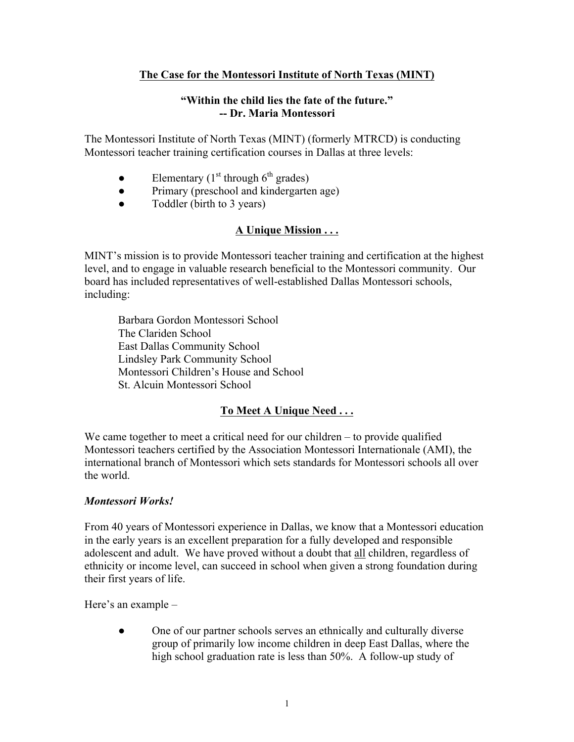# **The Case for the Montessori Institute of North Texas (MINT)**

#### **"Within the child lies the fate of the future." -- Dr. Maria Montessori**

The Montessori Institute of North Texas (MINT) (formerly MTRCD) is conducting Montessori teacher training certification courses in Dallas at three levels:

- Elementary  $(1<sup>st</sup>$  through  $6<sup>th</sup>$  grades)
- Primary (preschool and kindergarten age)
- Toddler (birth to 3 years)

# **A Unique Mission . . .**

MINT's mission is to provide Montessori teacher training and certification at the highest level, and to engage in valuable research beneficial to the Montessori community. Our board has included representatives of well-established Dallas Montessori schools, including:

Barbara Gordon Montessori School The Clariden School East Dallas Community School Lindsley Park Community School Montessori Children's House and School St. Alcuin Montessori School

# **To Meet A Unique Need . . .**

We came together to meet a critical need for our children – to provide qualified Montessori teachers certified by the Association Montessori Internationale (AMI), the international branch of Montessori which sets standards for Montessori schools all over the world.

#### *Montessori Works!*

From 40 years of Montessori experience in Dallas, we know that a Montessori education in the early years is an excellent preparation for a fully developed and responsible adolescent and adult. We have proved without a doubt that all children, regardless of ethnicity or income level, can succeed in school when given a strong foundation during their first years of life.

Here's an example –

• One of our partner schools serves an ethnically and culturally diverse group of primarily low income children in deep East Dallas, where the high school graduation rate is less than 50%. A follow-up study of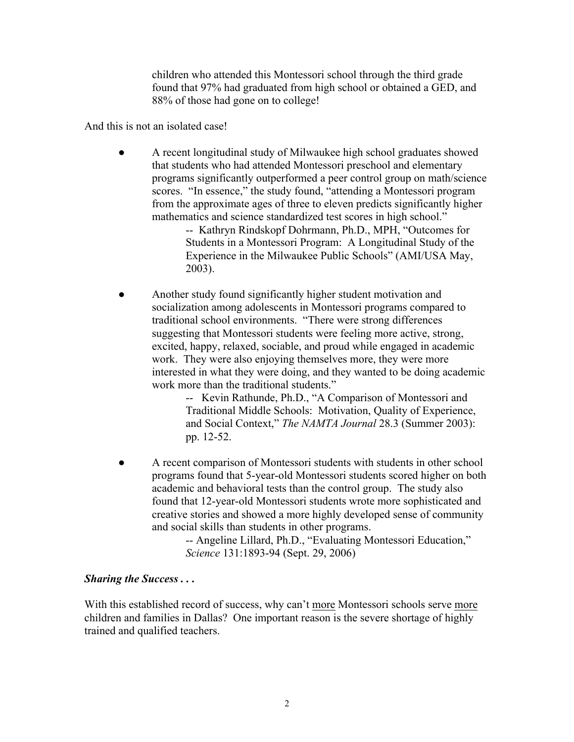children who attended this Montessori school through the third grade found that 97% had graduated from high school or obtained a GED, and 88% of those had gone on to college!

And this is not an isolated case!

● A recent longitudinal study of Milwaukee high school graduates showed that students who had attended Montessori preschool and elementary programs significantly outperformed a peer control group on math/science scores. "In essence," the study found, "attending a Montessori program from the approximate ages of three to eleven predicts significantly higher mathematics and science standardized test scores in high school."

-- Kathryn Rindskopf Dohrmann, Ph.D., MPH, "Outcomes for Students in a Montessori Program: A Longitudinal Study of the Experience in the Milwaukee Public Schools" (AMI/USA May, 2003).

Another study found significantly higher student motivation and socialization among adolescents in Montessori programs compared to traditional school environments. "There were strong differences suggesting that Montessori students were feeling more active, strong, excited, happy, relaxed, sociable, and proud while engaged in academic work. They were also enjoying themselves more, they were more interested in what they were doing, and they wanted to be doing academic work more than the traditional students."

-- Kevin Rathunde, Ph.D., "A Comparison of Montessori and Traditional Middle Schools: Motivation, Quality of Experience, and Social Context," *The NAMTA Journal* 28.3 (Summer 2003): pp. 12-52.

A recent comparison of Montessori students with students in other school programs found that 5-year-old Montessori students scored higher on both academic and behavioral tests than the control group. The study also found that 12-year-old Montessori students wrote more sophisticated and creative stories and showed a more highly developed sense of community and social skills than students in other programs.

> -- Angeline Lillard, Ph.D., "Evaluating Montessori Education," *Science* 131:1893-94 (Sept. 29, 2006)

#### *Sharing the Success . . .*

With this established record of success, why can't more Montessori schools serve more children and families in Dallas? One important reason is the severe shortage of highly trained and qualified teachers.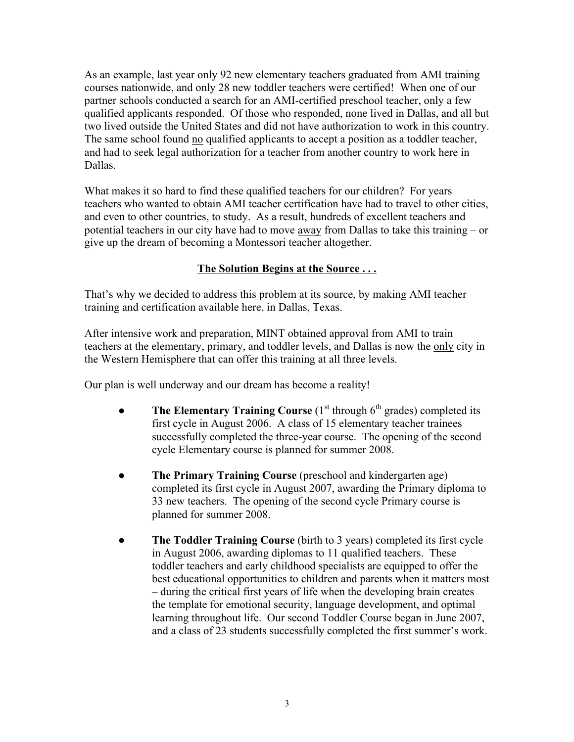As an example, last year only 92 new elementary teachers graduated from AMI training courses nationwide, and only 28 new toddler teachers were certified! When one of our partner schools conducted a search for an AMI-certified preschool teacher, only a few qualified applicants responded. Of those who responded, none lived in Dallas, and all but two lived outside the United States and did not have authorization to work in this country. The same school found no qualified applicants to accept a position as a toddler teacher, and had to seek legal authorization for a teacher from another country to work here in Dallas.

What makes it so hard to find these qualified teachers for our children? For years teachers who wanted to obtain AMI teacher certification have had to travel to other cities, and even to other countries, to study. As a result, hundreds of excellent teachers and potential teachers in our city have had to move away from Dallas to take this training – or give up the dream of becoming a Montessori teacher altogether.

# **The Solution Begins at the Source . . .**

That's why we decided to address this problem at its source, by making AMI teacher training and certification available here, in Dallas, Texas.

After intensive work and preparation, MINT obtained approval from AMI to train teachers at the elementary, primary, and toddler levels, and Dallas is now the only city in the Western Hemisphere that can offer this training at all three levels.

Our plan is well underway and our dream has become a reality!

- **The Elementary Training Course**  $(1<sup>st</sup>$  through  $6<sup>th</sup>$  grades) completed its first cycle in August 2006. A class of 15 elementary teacher trainees successfully completed the three-year course. The opening of the second cycle Elementary course is planned for summer 2008.
- **The Primary Training Course** (preschool and kindergarten age) completed its first cycle in August 2007, awarding the Primary diploma to 33 new teachers. The opening of the second cycle Primary course is planned for summer 2008.
- **The Toddler Training Course** (birth to 3 years) completed its first cycle in August 2006, awarding diplomas to 11 qualified teachers. These toddler teachers and early childhood specialists are equipped to offer the best educational opportunities to children and parents when it matters most – during the critical first years of life when the developing brain creates the template for emotional security, language development, and optimal learning throughout life. Our second Toddler Course began in June 2007, and a class of 23 students successfully completed the first summer's work.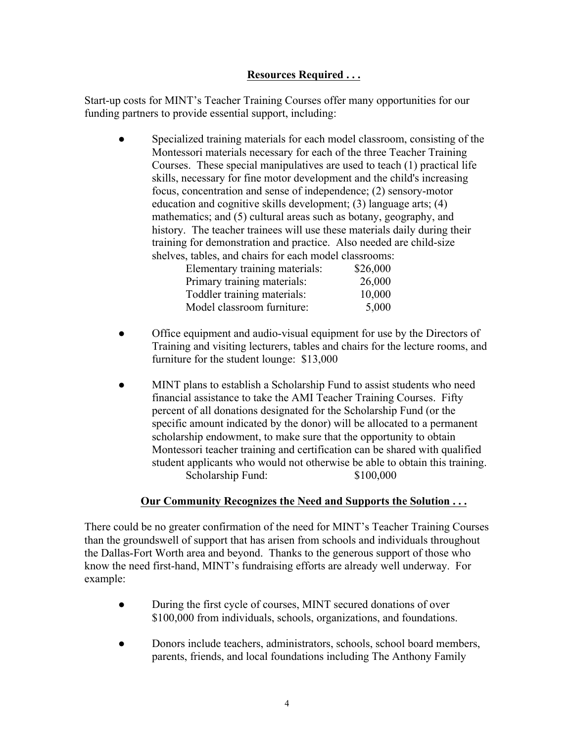### **Resources Required . . .**

Start-up costs for MINT's Teacher Training Courses offer many opportunities for our funding partners to provide essential support, including:

Specialized training materials for each model classroom, consisting of the Montessori materials necessary for each of the three Teacher Training Courses. These special manipulatives are used to teach (1) practical life skills, necessary for fine motor development and the child's increasing focus, concentration and sense of independence; (2) sensory-motor education and cognitive skills development; (3) language arts; (4) mathematics; and (5) cultural areas such as botany, geography, and history. The teacher trainees will use these materials daily during their training for demonstration and practice. Also needed are child-size shelves, tables, and chairs for each model classrooms:

| \$26,000 |
|----------|
| 26,000   |
| 10,000   |
| 5,000    |
|          |

- Office equipment and audio-visual equipment for use by the Directors of Training and visiting lecturers, tables and chairs for the lecture rooms, and furniture for the student lounge: \$13,000
- MINT plans to establish a Scholarship Fund to assist students who need financial assistance to take the AMI Teacher Training Courses. Fifty percent of all donations designated for the Scholarship Fund (or the specific amount indicated by the donor) will be allocated to a permanent scholarship endowment, to make sure that the opportunity to obtain Montessori teacher training and certification can be shared with qualified student applicants who would not otherwise be able to obtain this training. Scholarship Fund: \$100,000

### **Our Community Recognizes the Need and Supports the Solution . . .**

There could be no greater confirmation of the need for MINT's Teacher Training Courses than the groundswell of support that has arisen from schools and individuals throughout the Dallas-Fort Worth area and beyond. Thanks to the generous support of those who know the need first-hand, MINT's fundraising efforts are already well underway. For example:

- During the first cycle of courses, MINT secured donations of over \$100,000 from individuals, schools, organizations, and foundations.
- Donors include teachers, administrators, schools, school board members, parents, friends, and local foundations including The Anthony Family